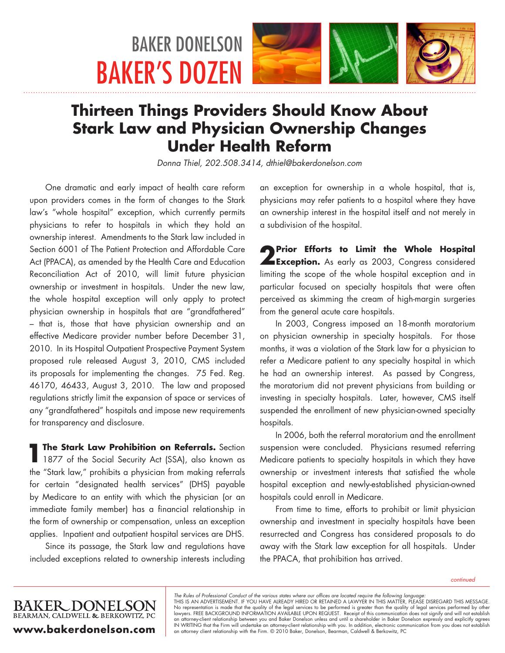# BAKER DONELSON BAKER'S DOZEN



# **Thirteen Things Providers Should Know About Stark Law and Physician Ownership Changes Under Health Reform**

*Donna Thiel, 202.508.3414, dthiel@bakerdonelson.com*

One dramatic and early impact of health care reform upon providers comes in the form of changes to the Stark law's "whole hospital" exception, which currently permits physicians to refer to hospitals in which they hold an ownership interest. Amendments to the Stark law included in Section 6001 of The Patient Protection and Affordable Care Act (PPACA), as amended by the Health Care and Education Reconciliation Act of 2010, will limit future physician ownership or investment in hospitals. Under the new law, the whole hospital exception will only apply to protect physician ownership in hospitals that are "grandfathered" – that is, those that have physician ownership and an effective Medicare provider number before December 31, 2010. In its Hospital Outpatient Prospective Payment System proposed rule released August 3, 2010, CMS included its proposals for implementing the changes. 75 Fed. Reg. 46170, 46433, August 3, 2010. The law and proposed regulations strictly limit the expansion of space or services of any "grandfathered" hospitals and impose new requirements for transparency and disclosure.

**1The Stark Law Prohibition on Referrals.** Section **1877** of the Social Security Act (SSA), also known as the "Stark law," prohibits a physician from making referrals for certain "designated health services" (DHS) payable by Medicare to an entity with which the physician (or an immediate family member) has a financial relationship in the form of ownership or compensation, unless an exception applies. Inpatient and outpatient hospital services are DHS.

Since its passage, the Stark law and regulations have included exceptions related to ownership interests including

an exception for ownership in a whole hospital, that is, physicians may refer patients to a hospital where they have an ownership interest in the hospital itself and not merely in a subdivision of the hospital.

**2Prior Efforts to Limit the Whole Hospital <br><b>Exception.** As early as 2003, Congress considered limiting the scope of the whole hospital exception and in particular focused on specialty hospitals that were often perceived as skimming the cream of high-margin surgeries from the general acute care hospitals.

In 2003, Congress imposed an 18-month moratorium on physician ownership in specialty hospitals. For those months, it was a violation of the Stark law for a physician to refer a Medicare patient to any specialty hospital in which he had an ownership interest. As passed by Congress, the moratorium did not prevent physicians from building or investing in specialty hospitals. Later, however, CMS itself suspended the enrollment of new physician-owned specialty hospitals.

In 2006, both the referral moratorium and the enrollment suspension were concluded. Physicians resumed referring Medicare patients to specialty hospitals in which they have ownership or investment interests that satisfied the whole hospital exception and newly-established physician-owned hospitals could enroll in Medicare.

From time to time, efforts to prohibit or limit physician ownership and investment in specialty hospitals have been resurrected and Congress has considered proposals to do away with the Stark law exception for all hospitals. Under the PPACA, that prohibition has arrived.

*continued*

The Rules of Professional Conduct of the various states where our offices are located require the following language:<br>THIS IS AN ADVERTISEMENT. IF YOU HAVE ALREADY HIRED OR RETAINED A LAWYER IN THIS MATTER, PLEASE DISREGAR No representation is made that the quality of the legal services to be performed is greater than the quality of legal services performed by other lawyers. FREE BACKGROUND INFORMATION AVAILABLE UPON REQUEST. Receipt of this communication does not signify and will not establish an attorney-client relationship between you and Baker Donelson unless and until a shareholder in Baker Donelson expressly and explicitly agrees<br>IN WRITING that the Firm will undertake an attorney-client relationship with y

BEARMAN, CALDWELL & BERKOWITZ, PC **www.bakerdonelson.com**

**BAKER DONELSON**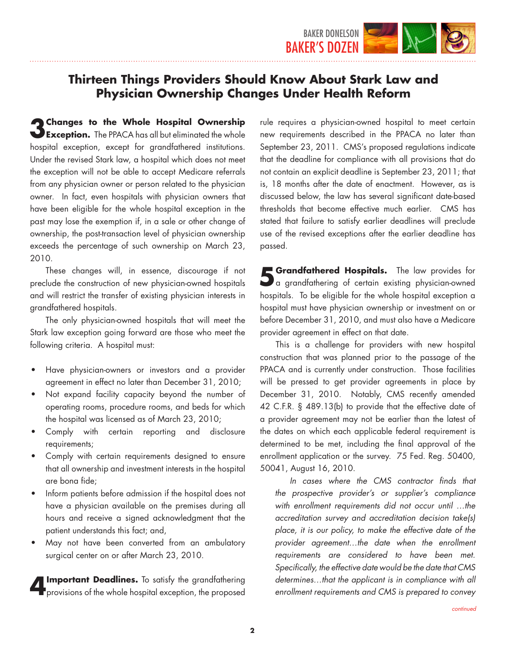

**3 Changes to the Whole Hospital Ownership Exception.** The PPACA has all but eliminated the whole hospital exception, except for grandfathered institutions. Under the revised Stark law, a hospital which does not meet the exception will not be able to accept Medicare referrals from any physician owner or person related to the physician owner. In fact, even hospitals with physician owners that have been eligible for the whole hospital exception in the past may lose the exemption if, in a sale or other change of ownership, the post-transaction level of physician ownership exceeds the percentage of such ownership on March 23, 2010.

These changes will, in essence, discourage if not preclude the construction of new physician-owned hospitals and will restrict the transfer of existing physician interests in grandfathered hospitals.

The only physician-owned hospitals that will meet the Stark law exception going forward are those who meet the following criteria. A hospital must:

- Have physician-owners or investors and a provider agreement in effect no later than December 31, 2010;
- Not expand facility capacity beyond the number of operating rooms, procedure rooms, and beds for which the hospital was licensed as of March 23, 2010;
- Comply with certain reporting and disclosure requirements;
- Comply with certain requirements designed to ensure that all ownership and investment interests in the hospital are bona fide;
- Inform patients before admission if the hospital does not have a physician available on the premises during all hours and receive a signed acknowledgment that the patient understands this fact; and,
- May not have been converted from an ambulatory surgical center on or after March 23, 2010.

**4Important Deadlines.** To satisfy the grandfathering provisions of the whole hospital exception, the proposed

rule requires a physician-owned hospital to meet certain new requirements described in the PPACA no later than September 23, 2011. CMS's proposed regulations indicate that the deadline for compliance with all provisions that do not contain an explicit deadline is September 23, 2011; that is, 18 months after the date of enactment. However, as is discussed below, the law has several significant date-based thresholds that become effective much earlier. CMS has stated that failure to satisfy earlier deadlines will preclude use of the revised exceptions after the earlier deadline has passed.

**5 Grandfathered Hospitals.** The law provides for a grandfathering of certain existing physician-owned hospitals. To be eligible for the whole hospital exception a hospital must have physician ownership or investment on or before December 31, 2010, and must also have a Medicare provider agreement in effect on that date.

This is a challenge for providers with new hospital construction that was planned prior to the passage of the PPACA and is currently under construction. Those facilities will be pressed to get provider agreements in place by December 31, 2010. Notably, CMS recently amended 42 C.F.R. § 489.13(b) to provide that the effective date of a provider agreement may not be earlier than the latest of the dates on which each applicable federal requirement is determined to be met, including the final approval of the enrollment application or the survey. 75 Fed. Reg. 50400, 50041, August 16, 2010.

 *In cases where the CMS contractor finds that the prospective provider's or supplier's compliance with enrollment requirements did not occur until …the accreditation survey and accreditation decision take(s) place, it is our policy, to make the effective date of the provider agreement…the date when the enrollment requirements are considered to have been met. Specifically, the effective date would be the date that CMS determines…that the applicant is in compliance with all enrollment requirements and CMS is prepared to convey*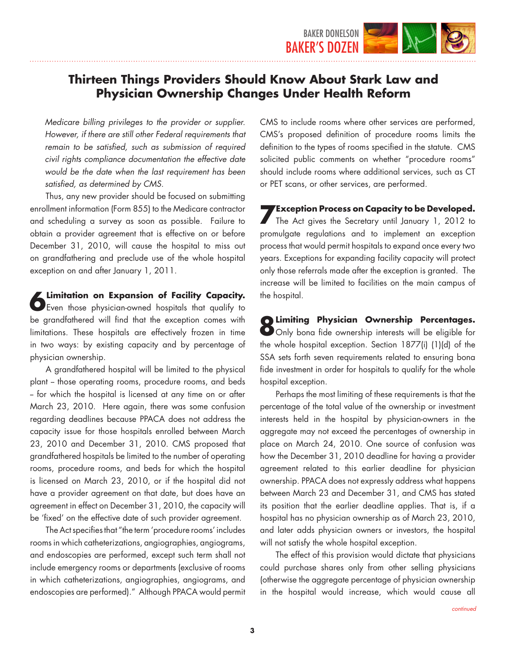

*Medicare billing privileges to the provider or supplier. However, if there are still other Federal requirements that remain to be satisfied, such as submission of required civil rights compliance documentation the effective date would be the date when the last requirement has been satisfied, as determined by CMS.* 

Thus, any new provider should be focused on submitting enrollment information (Form 855) to the Medicare contractor and scheduling a survey as soon as possible. Failure to obtain a provider agreement that is effective on or before December 31, 2010, will cause the hospital to miss out on grandfathering and preclude use of the whole hospital exception on and after January 1, 2011.

**6 Limitation on Expansion of Facility Capacity.**<br>Deven those physician-owned hospitals that qualify to be grandfathered will find that the exception comes with limitations. These hospitals are effectively frozen in time in two ways: by existing capacity and by percentage of physician ownership.

A grandfathered hospital will be limited to the physical plant - those operating rooms, procedure rooms, and beds - for which the hospital is licensed at any time on or after March 23, 2010. Here again, there was some confusion regarding deadlines because PPACA does not address the capacity issue for those hospitals enrolled between March 23, 2010 and December 31, 2010. CMS proposed that grandfathered hospitals be limited to the number of operating rooms, procedure rooms, and beds for which the hospital is licensed on March 23, 2010, or if the hospital did not have a provider agreement on that date, but does have an agreement in effect on December 31, 2010, the capacity will be 'fixed' on the effective date of such provider agreement.

The Act specifies that "the term 'procedure rooms' includes rooms in which catheterizations, angiographies, angiograms, and endoscopies are performed, except such term shall not include emergency rooms or departments (exclusive of rooms in which catheterizations, angiographies, angiograms, and endoscopies are performed)." Although PPACA would permit CMS to include rooms where other services are performed, CMS's proposed definition of procedure rooms limits the definition to the types of rooms specified in the statute. CMS solicited public comments on whether "procedure rooms" should include rooms where additional services, such as CT or PET scans, or other services, are performed.

**7 Exception Process on Capacity to be Developed.**<br>The Act gives the Secretary until January 1, 2012 to promulgate regulations and to implement an exception process that would permit hospitals to expand once every two years. Exceptions for expanding facility capacity will protect only those referrals made after the exception is granted. The increase will be limited to facilities on the main campus of the hospital.

**8 Limiting Physician Ownership Percentages.**<br> **O** Only bona fide ownership interests will be eligible for the whole hospital exception. Section 1877(i) (1)(d) of the SSA sets forth seven requirements related to ensuring bona fide investment in order for hospitals to qualify for the whole hospital exception.

Perhaps the most limiting of these requirements is that the percentage of the total value of the ownership or investment interests held in the hospital by physician-owners in the aggregate may not exceed the percentages of ownership in place on March 24, 2010. One source of confusion was how the December 31, 2010 deadline for having a provider agreement related to this earlier deadline for physician ownership. PPACA does not expressly address what happens between March 23 and December 31, and CMS has stated its position that the earlier deadline applies. That is, if a hospital has no physician ownership as of March 23, 2010, and later adds physician owners or investors, the hospital will not satisfy the whole hospital exception.

The effect of this provision would dictate that physicians could purchase shares only from other selling physicians (otherwise the aggregate percentage of physician ownership in the hospital would increase, which would cause all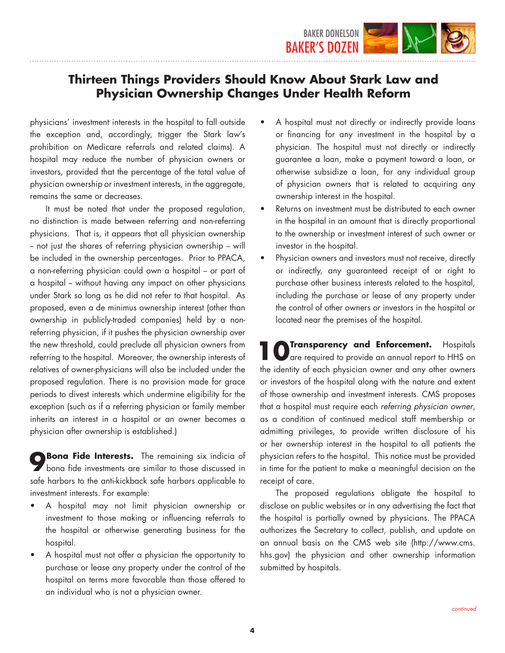

physicians' investment interests in the hospital to fall outside the exception and, accordingly, trigger the Stark law's prohibition on Medicare referrals and related claims). A hospital may reduce the number of physician owners or investors, provided that the percentage of the total value of physician ownership or investment interests, in the aggregate, remains the same or decreases.

It must be noted that under the proposed regulation, no distinction is made between referring and non-referring physicians. That is, it appears that all physician ownership - not just the shares of referring physician ownership -- will be included in the ownership percentages. Prior to PPACA, a non-referring physician could own a hospital - or part of a hospital - without having any impact on other physicians under Stark so long as he did not refer to that hospital. As proposed, even a de minimus ownership interest (other than ownership in publicly-traded companies) held by a nonreferring physician, if it pushes the physician ownership over the new threshold, could preclude all physician owners from referring to the hospital. Moreover, the ownership interests of relatives of owner-physicians will also be included under the proposed regulation. There is no provision made for grace periods to divest interests which undermine eligibility for the exception (such as if a referring physician or family member inherits an interest in a hospital or an owner becomes a physician after ownership is established.)

**8** Bona Fide Interests. The remaining six indicia of bona fide investments are similar to those discussed in safe harbors to the anti-kickback safe harbors applicable to investment interests. For example:

- A hospital may not limit physician ownership or investment to those making or influencing referrals to the hospital or otherwise generating business for the hospital.
- • A hospital must not offer a physician the opportunity to purchase or lease any property under the control of the hospital on terms more favorable than those offered to an individual who is not a physician owner.
- A hospital must not directly or indirectly provide loans or financing for any investment in the hospital by a physician. The hospital must not directly or indirectly guarantee a loan, make a payment toward a loan, or otherwise subsidize a loan, for any individual group of physician owners that is related to acquiring any ownership interest in the hospital.
- Returns on investment must be distributed to each owner in the hospital in an amount that is directly proportional to the ownership or investment interest of such owner or investor in the hospital.
- Physician owners and investors must not receive, directly or indirectly, any guaranteed receipt of or right to purchase other business interests related to the hospital, including the purchase or lease of any property under the control of other owners or investors in the hospital or located near the premises of the hospital.

**10 O** Transparency and Enforcement. Hospitals and  $\frac{1}{100}$  are required to provide an annual report to HHS on the identity of each physician owner and any other owners or investors of the hospital along with the nature and extent of those ownership and investment interests. CMS proposes that a hospital must require each *referring physician owner*, as a condition of continued medical staff membership or admitting privileges, to provide written disclosure of his or her ownership interest in the hospital to all patients the physician refers to the hospital. This notice must be provided in time for the patient to make a meaningful decision on the receipt of care.

The proposed regulations obligate the hospital to disclose on public websites or in any advertising the fact that the hospital is partially owned by physicians. The PPACA authorizes the Secretary to collect, publish, and update on an annual basis on the CMS web site (http://www.cms. hhs.gov) the physician and other ownership information submitted by hospitals.